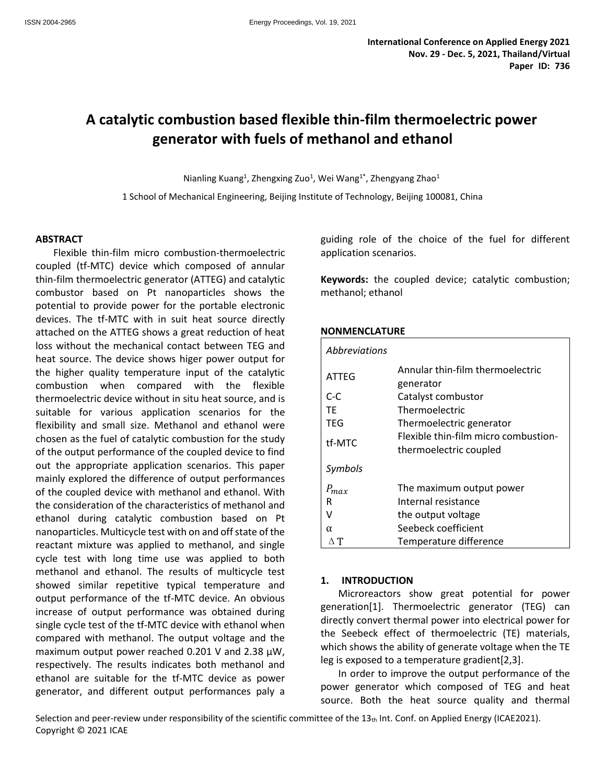# **A catalytic combustion based flexible thin-film thermoelectric power generator with fuels of methanol and ethanol**

Nianling Kuang<sup>1</sup>, Zhengxing Zuo<sup>1</sup>, Wei Wang<sup>1\*</sup>, Zhengyang Zhao<sup>1</sup>

1 School of Mechanical Engineering, Beijing Institute of Technology, Beijing 100081, China

## **ABSTRACT**

Flexible thin-film micro combustion-thermoelectric coupled (tf-MTC) device which composed of annular thin-film thermoelectric generator (ATTEG) and catalytic combustor based on Pt nanoparticles shows the potential to provide power for the portable electronic devices. The tf-MTC with in suit heat source directly attached on the ATTEG shows a great reduction of heat loss without the mechanical contact between TEG and heat source. The device shows higer power output for the higher quality temperature input of the catalytic combustion when compared with the flexible thermoelectric device without in situ heat source, and is suitable for various application scenarios for the flexibility and small size. Methanol and ethanol were chosen as the fuel of catalytic combustion for the study of the output performance of the coupled device to find out the appropriate application scenarios. This paper mainly explored the difference of output performances of the coupled device with methanol and ethanol. With the consideration of the characteristics of methanol and ethanol during catalytic combustion based on Pt nanoparticles. Multicycle test with on and off state of the reactant mixture was applied to methanol, and single cycle test with long time use was applied to both methanol and ethanol. The results of multicycle test showed similar repetitive typical temperature and output performance of the tf-MTC device. An obvious increase of output performance was obtained during single cycle test of the tf-MTC device with ethanol when compared with methanol. The output voltage and the maximum output power reached 0.201 V and 2.38 μW, respectively. The results indicates both methanol and ethanol are suitable for the tf-MTC device as power generator, and different output performances paly a

guiding role of the choice of the fuel for different application scenarios.

**Keywords:** the coupled device; catalytic combustion; methanol; ethanol

## **NONMENCLATURE**

| <i>Abbreviations</i> |                                                                                            |  |  |  |  |
|----------------------|--------------------------------------------------------------------------------------------|--|--|--|--|
| ATTEG                | Annular thin-film thermoelectric<br>generator                                              |  |  |  |  |
| $C-C$                | Catalyst combustor                                                                         |  |  |  |  |
| ТF                   | Thermoelectric                                                                             |  |  |  |  |
| TEG                  | Thermoelectric generator<br>Flexible thin-film micro combustion-<br>thermoelectric coupled |  |  |  |  |
| tf-MTC               |                                                                                            |  |  |  |  |
| Symbols              |                                                                                            |  |  |  |  |
| $P_{max}$            | The maximum output power                                                                   |  |  |  |  |
| R                    | Internal resistance                                                                        |  |  |  |  |
|                      | the output voltage                                                                         |  |  |  |  |
| $\alpha$             | Seebeck coefficient                                                                        |  |  |  |  |
|                      | Temperature difference                                                                     |  |  |  |  |

## **1. INTRODUCTION**

Microreactors show great potential for power generation[1]. Thermoelectric generator (TEG) can directly convert thermal power into electrical power for the Seebeck effect of thermoelectric (TE) materials, which shows the ability of generate voltage when the TE leg is exposed to a temperature gradient[2,3].

In order to improve the output performance of the power generator which composed of TEG and heat source. Both the heat source quality and thermal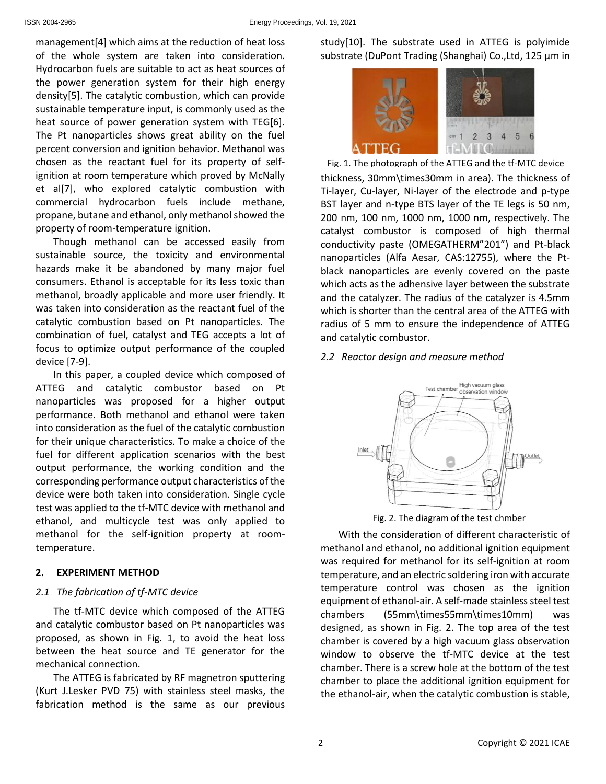management[4] which aims at the reduction of heat loss of the whole system are taken into consideration. Hydrocarbon fuels are suitable to act as heat sources of the power generation system for their high energy density[5]. The catalytic combustion, which can provide sustainable temperature input, is commonly used as the heat source of power generation system with TEG[6]. The Pt nanoparticles shows great ability on the fuel percent conversion and ignition behavior. Methanol was chosen as the reactant fuel for its property of selfignition at room temperature which proved by McNally et al[7], who explored catalytic combustion with commercial hydrocarbon fuels include methane, propane, butane and ethanol, only methanol showed the property of room-temperature ignition.

Though methanol can be accessed easily from sustainable source, the toxicity and environmental hazards make it be abandoned by many major fuel consumers. Ethanol is acceptable for its less toxic than methanol, broadly applicable and more user friendly. It was taken into consideration as the reactant fuel of the catalytic combustion based on Pt nanoparticles. The combination of fuel, catalyst and TEG accepts a lot of focus to optimize output performance of the coupled device [7-9].

In this paper, a coupled device which composed of ATTEG and catalytic combustor based on Pt nanoparticles was proposed for a higher output performance. Both methanol and ethanol were taken into consideration as the fuel of the catalytic combustion for their unique characteristics. To make a choice of the fuel for different application scenarios with the best output performance, the working condition and the corresponding performance output characteristics of the device were both taken into consideration. Single cycle test was applied to the tf-MTC device with methanol and ethanol, and multicycle test was only applied to methanol for the self-ignition property at roomtemperature.

## **2. EXPERIMENT METHOD**

## *2.1 The fabrication of tf-MTC device*

The tf-MTC device which composed of the ATTEG and catalytic combustor based on Pt nanoparticles was proposed, as shown in Fig. 1, to avoid the heat loss between the heat source and TE generator for the mechanical connection.

The ATTEG is fabricated by RF magnetron sputtering (Kurt J.Lesker PVD 75) with stainless steel masks, the fabrication method is the same as our previous study[10]. The substrate used in ATTEG is polyimide substrate (DuPont Trading (Shanghai) Co.,Ltd, 125 μm in



thickness, 30mm\times30mm in area). The thickness of Ti-layer, Cu-layer, Ni-layer of the electrode and p-type BST layer and n-type BTS layer of the TE legs is 50 nm, 200 nm, 100 nm, 1000 nm, 1000 nm, respectively. The catalyst combustor is composed of high thermal conductivity paste (OMEGATHERM"201") and Pt-black nanoparticles (Alfa Aesar, CAS:12755), where the Ptblack nanoparticles are evenly covered on the paste which acts as the adhensive layer between the substrate and the catalyzer. The radius of the catalyzer is 4.5mm which is shorter than the central area of the ATTEG with radius of 5 mm to ensure the independence of ATTEG and catalytic combustor. Fig. 1. The photograph of the ATTEG and the tf-MTC device

## *2.2 Reactor design and measure method*



Fig. 2. The diagram of the test chmber

With the consideration of different characteristic of methanol and ethanol, no additional ignition equipment was required for methanol for its self-ignition at room temperature, and an electric soldering iron with accurate temperature control was chosen as the ignition equipment of ethanol-air. A self-made stainless steel test chambers (55mm\times55mm\times10mm) was designed, as shown in Fig. 2. The top area of the test chamber is covered by a high vacuum glass observation window to observe the tf-MTC device at the test chamber. There is a screw hole at the bottom of the test chamber to place the additional ignition equipment for the ethanol-air, when the catalytic combustion is stable,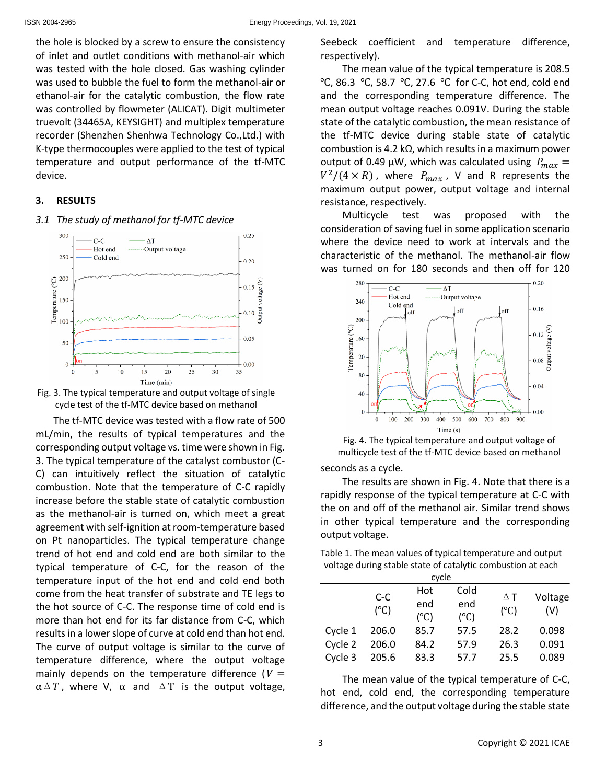the hole is blocked by a screw to ensure the consistency of inlet and outlet conditions with methanol-air which was tested with the hole closed. Gas washing cylinder was used to bubble the fuel to form the methanol-air or ethanol-air for the catalytic combustion, the flow rate was controlled by flowmeter (ALICAT). Digit multimeter truevolt (34465A, KEYSIGHT) and multiplex temperature recorder (Shenzhen Shenhwa Technology Co.,Ltd.) with K-type thermocouples were applied to the test of typical temperature and output performance of the tf-MTC device.

#### **3. RESULTS**

## *3.1 The study of methanol for tf-MTC device*





The tf-MTC device was tested with a flow rate of 500 mL/min, the results of typical temperatures and the corresponding output voltage vs. time were shown in Fig. 3. The typical temperature of the catalyst combustor (C-C) can intuitively reflect the situation of catalytic combustion. Note that the temperature of C-C rapidly increase before the stable state of catalytic combustion as the methanol-air is turned on, which meet a great agreement with self-ignition at room-temperature based on Pt nanoparticles. The typical temperature change trend of hot end and cold end are both similar to the typical temperature of C-C, for the reason of the temperature input of the hot end and cold end both come from the heat transfer of substrate and TE legs to the hot source of C-C. The response time of cold end is more than hot end for its far distance from C-C, which results in a lower slope of curve at cold end than hot end. The curve of output voltage is similar to the curve of temperature difference, where the output voltage mainly depends on the temperature difference ( $V =$  $\alpha \Delta T$ , where V,  $\alpha$  and  $\Delta T$  is the output voltage, Seebeck coefficient and temperature difference, respectively).

The mean value of the typical temperature is 208.5 ℃, 86.3 ℃, 58.7 ℃, 27.6 ℃ for C-C, hot end, cold end and the corresponding temperature difference. The mean output voltage reaches 0.091V. During the stable state of the catalytic combustion, the mean resistance of the tf-MTC device during stable state of catalytic combustion is 4.2 kΩ, which results in a maximum power output of 0.49  $\mu$ W, which was calculated using  $P_{max}$  =  $V^2/(4\times R)$ , where  $P_{max}$ , V and R represents the maximum output power, output voltage and internal resistance, respectively.

Multicycle test was proposed with the consideration of saving fuel in some application scenario where the device need to work at intervals and the characteristic of the methanol. The methanol-air flow was turned on for 180 seconds and then off for 120



Fig. 4. The typical temperature and output voltage of multicycle test of the tf-MTC device based on methanol

seconds as a cycle.

The results are shown in Fig. 4. Note that there is a rapidly response of the typical temperature at C-C with the on and off of the methanol air. Similar trend shows in other typical temperature and the corresponding output voltage.

| Table 1. The mean values of typical temperature and output  |
|-------------------------------------------------------------|
| voltage during stable state of catalytic combustion at each |

| cycle   |                        |            |               |               |         |  |
|---------|------------------------|------------|---------------|---------------|---------|--|
|         | $C-C$<br>$(^{\circ}C)$ | Hot<br>end | Cold<br>end   | $\Delta$ T    | Voltage |  |
|         |                        | (°C)       | $(^{\circ}C)$ | $(^{\circ}C)$ | (V)     |  |
| Cycle 1 | 206.0                  | 85.7       | 57.5          | 28.2          | 0.098   |  |
| Cycle 2 | 206.0                  | 84.2       | 57.9          | 26.3          | 0.091   |  |
| Cycle 3 | 205.6                  | 83.3       | 57.7          | 25.5          | 0.089   |  |

The mean value of the typical temperature of C-C, hot end, cold end, the corresponding temperature difference, and the output voltage during the stable state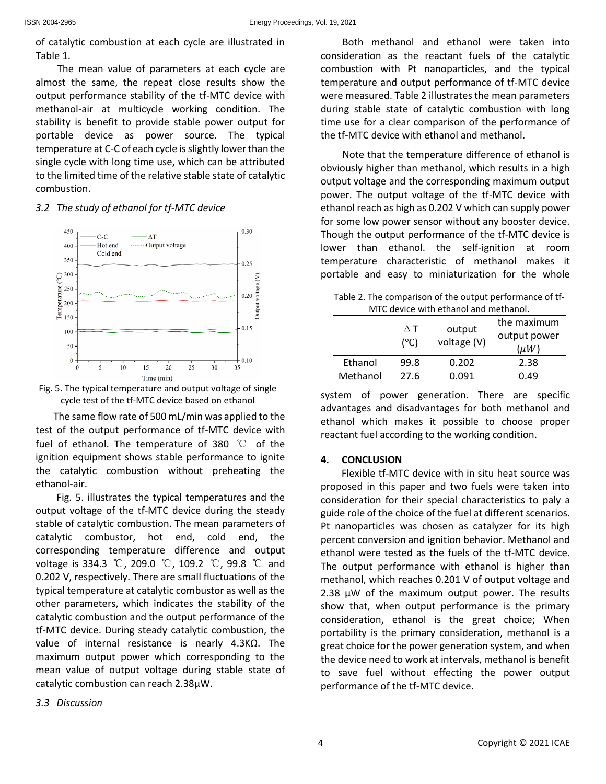of catalytic combustion at each cycle are illustrated in Table 1.

The mean value of parameters at each cycle are almost the same, the repeat close results show the output performance stability of the tf-MTC device with methanol-air at multicycle working condition. The stability is benefit to provide stable power output for portable device as power source. The typical temperature at C-C of each cycle is slightly lower than the single cycle with long time use, which can be attributed to the limited time of the relative stable state of catalytic combustion.

# *3.2 The study of ethanol for tf-MTC device*





The same flow rate of 500 mL/min was applied to the test of the output performance of tf-MTC device with fuel of ethanol. The temperature of 380 ℃ of the ignition equipment shows stable performance to ignite the catalytic combustion without preheating the ethanol-air.

Fig. 5. illustrates the typical temperatures and the output voltage of the tf-MTC device during the steady stable of catalytic combustion. The mean parameters of catalytic combustor, hot end, cold end, the corresponding temperature difference and output voltage is 334.3 ℃, 209.0 ℃, 109.2 ℃, 99.8 ℃ and 0.202 V, respectively. There are small fluctuations of the typical temperature at catalytic combustor as well as the other parameters, which indicates the stability of the catalytic combustion and the output performance of the tf-MTC device. During steady catalytic combustion, the value of internal resistance is nearly 4.3KΩ. The maximum output power which corresponding to the mean value of output voltage during stable state of catalytic combustion can reach 2.38μW.

Both methanol and ethanol were taken into consideration as the reactant fuels of the catalytic combustion with Pt nanoparticles, and the typical temperature and output performance of tf-MTC device were measured. Table 2 illustrates the mean parameters during stable state of catalytic combustion with long time use for a clear comparison of the performance of the tf-MTC device with ethanol and methanol.

Note that the temperature difference of ethanol is obviously higher than methanol, which results in a high output voltage and the corresponding maximum output power. The output voltage of the tf-MTC device with ethanol reach as high as 0.202 V which can supply power for some low power sensor without any booster device. Though the output performance of the tf-MTC device is lower than ethanol. the self-ignition at room temperature characteristic of methanol makes it portable and easy to miniaturization for the whole

Table 2. The comparison of the output performance of tf-MTC device with ethanol and methanol.

|          | $\Delta$ T<br>$(^{\circ}C)$ | output<br>voltage (V) | the maximum<br>output power<br>$(\mu W)$ |
|----------|-----------------------------|-----------------------|------------------------------------------|
| Ethanol  | 99.8                        | 0.202                 | 2.38                                     |
| Methanol | 27.6                        | 0.091                 | በ 49                                     |

system of power generation. There are specific advantages and disadvantages for both methanol and ethanol which makes it possible to choose proper reactant fuel according to the working condition.

# **4. CONCLUSION**

Flexible tf-MTC device with in situ heat source was proposed in this paper and two fuels were taken into consideration for their special characteristics to paly a guide role of the choice of the fuel at different scenarios. Pt nanoparticles was chosen as catalyzer for its high percent conversion and ignition behavior. Methanol and ethanol were tested as the fuels of the tf-MTC device. The output performance with ethanol is higher than methanol, which reaches 0.201 V of output voltage and 2.38 μW of the maximum output power. The results show that, when output performance is the primary consideration, ethanol is the great choice; When portability is the primary consideration, methanol is a great choice for the power generation system, and when the device need to work at intervals, methanol is benefit to save fuel without effecting the power output performance of the tf-MTC device.